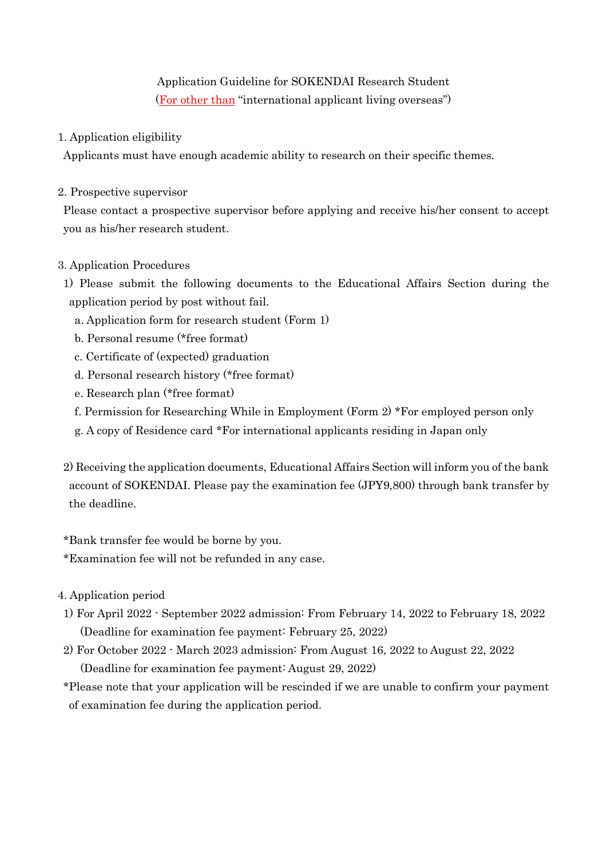# Application Guideline for SOKENDAI Research Student (For other than "international applicant living overseas")

## 1. Application eligibility

Applicants must have enough academic ability to research on their specific themes.

#### 2. Prospective supervisor

Please contact a prospective supervisor before applying and receive his/her consent to accept you as his/her research student.

### 3. Application Procedures

- 1) Please submit the following documents to the Educational Affairs Section during the application period by post without fail.
	- a. Application form for research student (Form 1)
	- b. Personal resume (\*free format)
	- c. Certificate of (expected) graduation
	- d. Personal research history (\*free format)
	- e. Research plan (\*free format)
	- f. Permission for Researching While in Employment (Form 2) \*For employed person only
	- g. A copy of Residence card \*For international applicants residing in Japan only
- 2) Receiving the application documents, Educational Affairs Section will inform you of the bank account of SOKENDAI. Please pay the examination fee (JPY9,800) through bank transfer by the deadline.

\*Bank transfer fee would be borne by you.

\*Examination fee will not be refunded in any case.

4. Application period

- 1) For April 2022 September 2022 admission: From February 14, 2022 to February 18, 2022 (Deadline for examination fee payment: February 25, 2022)
- 2) For October 2022 March 2023 admission: From August 16, 2022 to August 22, 2022 (Deadline for examination fee payment: August 29, 2022)

\*Please note that your application will be rescinded if we are unable to confirm your payment of examination fee during the application period.